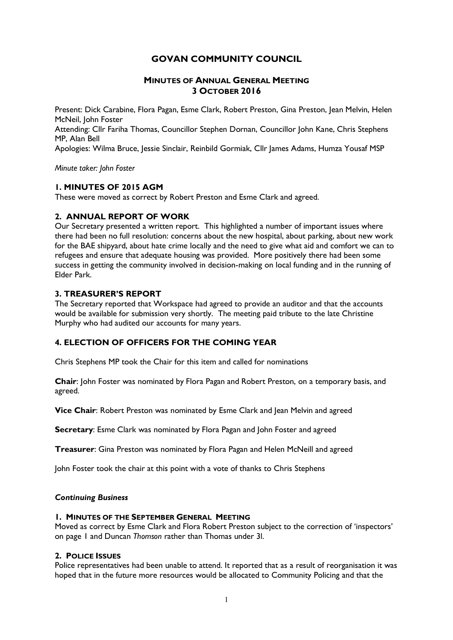# **GOVAN COMMUNITY COUNCIL**

# **MINUTES OF ANNUAL GENERAL MEETING 3 OCTOBER 2016**

Present: Dick Carabine, Flora Pagan, Esme Clark, Robert Preston, Gina Preston, Jean Melvin, Helen McNeil, John Foster Attending: Cllr Fariha Thomas, Councillor Stephen Dornan, Councillor John Kane, Chris Stephens MP, Alan Bell Apologies: Wilma Bruce, Jessie Sinclair, Reinbild Gormiak, Cllr James Adams, Humza Yousaf MSP

*Minute taker: John Foster*

## **1. MINUTES OF 2015 AGM**

These were moved as correct by Robert Preston and Esme Clark and agreed.

## **2. ANNUAL REPORT OF WORK**

Our Secretary presented a written report. This highlighted a number of important issues where there had been no full resolution: concerns about the new hospital, about parking, about new work for the BAE shipyard, about hate crime locally and the need to give what aid and comfort we can to refugees and ensure that adequate housing was provided. More positively there had been some success in getting the community involved in decision-making on local funding and in the running of Elder Park.

## **3. TREASURER'S REPORT**

The Secretary reported that Workspace had agreed to provide an auditor and that the accounts would be available for submission very shortly. The meeting paid tribute to the late Christine Murphy who had audited our accounts for many years.

# **4. ELECTION OF OFFICERS FOR THE COMING YEAR**

Chris Stephens MP took the Chair for this item and called for nominations

**Chair**: John Foster was nominated by Flora Pagan and Robert Preston, on a temporary basis, and agreed.

**Vice Chair**: Robert Preston was nominated by Esme Clark and Jean Melvin and agreed

**Secretary**: Esme Clark was nominated by Flora Pagan and John Foster and agreed

**Treasurer**: Gina Preston was nominated by Flora Pagan and Helen McNeill and agreed

John Foster took the chair at this point with a vote of thanks to Chris Stephens

### *Continuing Business*

#### **1. MINUTES OF THE SEPTEMBER GENERAL MEETING**

Moved as correct by Esme Clark and Flora Robert Preston subject to the correction of 'inspectors' on page 1 and Duncan *Thomson* rather than Thomas under 3l.

#### **2. POLICE ISSUES**

Police representatives had been unable to attend. It reported that as a result of reorganisation it was hoped that in the future more resources would be allocated to Community Policing and that the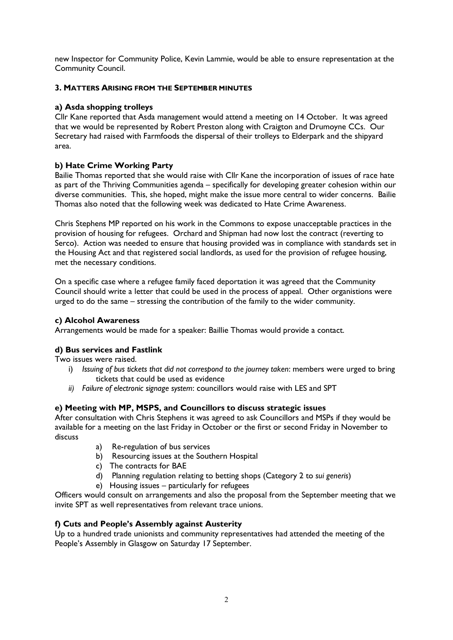new Inspector for Community Police, Kevin Lammie, would be able to ensure representation at the Community Council.

# **3. MATTERS ARISING FROM THE SEPTEMBER MINUTES**

# **a) Asda shopping trolleys**

Cllr Kane reported that Asda management would attend a meeting on 14 October. It was agreed that we would be represented by Robert Preston along with Craigton and Drumoyne CCs. Our Secretary had raised with Farmfoods the dispersal of their trolleys to Elderpark and the shipyard area.

# **b) Hate Crime Working Party**

Bailie Thomas reported that she would raise with Cllr Kane the incorporation of issues of race hate as part of the Thriving Communities agenda – specifically for developing greater cohesion within our diverse communities. This, she hoped, might make the issue more central to wider concerns. Bailie Thomas also noted that the following week was dedicated to Hate Crime Awareness.

Chris Stephens MP reported on his work in the Commons to expose unacceptable practices in the provision of housing for refugees. Orchard and Shipman had now lost the contract (reverting to Serco). Action was needed to ensure that housing provided was in compliance with standards set in the Housing Act and that registered social landlords, as used for the provision of refugee housing, met the necessary conditions.

On a specific case where a refugee family faced deportation it was agreed that the Community Council should write a letter that could be used in the process of appeal. Other organistions were urged to do the same – stressing the contribution of the family to the wider community.

# **c) Alcohol Awareness**

Arrangements would be made for a speaker: Baillie Thomas would provide a contact.

# **d) Bus services and Fastlink**

Two issues were raised.

- i) *Issuing of bus tickets that did not correspond to the journey taken*: members were urged to bring tickets that could be used as evidence
- *ii) Failure of electronic signage system*: councillors would raise with LES and SPT

# **e) Meeting with MP, MSPS, and Councillors to discuss strategic issues**

After consultation with Chris Stephens it was agreed to ask Councillors and MSPs if they would be available for a meeting on the last Friday in October or the first or second Friday in November to discuss

- a) Re-regulation of bus services
- b) Resourcing issues at the Southern Hospital
- c) The contracts for BAE
- d) Planning regulation relating to betting shops (Category 2 to *sui generis*)
- e) Housing issues particularly for refugees

Officers would consult on arrangements and also the proposal from the September meeting that we invite SPT as well representatives from relevant trace unions.

# **f) Cuts and People's Assembly against Austerity**

Up to a hundred trade unionists and community representatives had attended the meeting of the People's Assembly in Glasgow on Saturday 17 September.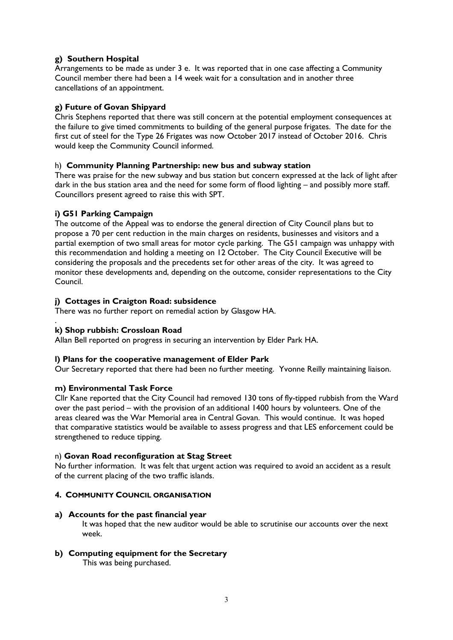# **g) Southern Hospital**

Arrangements to be made as under 3 e. It was reported that in one case affecting a Community Council member there had been a 14 week wait for a consultation and in another three cancellations of an appointment.

# **g) Future of Govan Shipyard**

Chris Stephens reported that there was still concern at the potential employment consequences at the failure to give timed commitments to building of the general purpose frigates. The date for the first cut of steel for the Type 26 Frigates was now October 2017 instead of October 2016. Chris would keep the Community Council informed.

## h) **Community Planning Partnership: new bus and subway station**

There was praise for the new subway and bus station but concern expressed at the lack of light after dark in the bus station area and the need for some form of flood lighting – and possibly more staff. Councillors present agreed to raise this with SPT.

# **i) G51 Parking Campaign**

The outcome of the Appeal was to endorse the general direction of City Council plans but to propose a 70 per cent reduction in the main charges on residents, businesses and visitors and a partial exemption of two small areas for motor cycle parking. The G51 campaign was unhappy with this recommendation and holding a meeting on 12 October. The City Council Executive will be considering the proposals and the precedents set for other areas of the city. It was agreed to monitor these developments and, depending on the outcome, consider representations to the City Council.

## **j) Cottages in Craigton Road: subsidence**

There was no further report on remedial action by Glasgow HA.

#### . **k) Shop rubbish: Crossloan Road**

Allan Bell reported on progress in securing an intervention by Elder Park HA.

#### **l) Plans for the cooperative management of Elder Park**

Our Secretary reported that there had been no further meeting. Yvonne Reilly maintaining liaison.

#### **m) Environmental Task Force**

Cllr Kane reported that the City Council had removed 130 tons of fly-tipped rubbish from the Ward over the past period – with the provision of an additional 1400 hours by volunteers. One of the areas cleared was the War Memorial area in Central Govan. This would continue. It was hoped that comparative statistics would be available to assess progress and that LES enforcement could be strengthened to reduce tipping.

#### n) **Govan Road reconfiguration at Stag Street**

No further information. It was felt that urgent action was required to avoid an accident as a result of the current placing of the two traffic islands.

#### **4. COMMUNITY COUNCIL ORGANISATION**

#### **a) Accounts for the past financial year**

It was hoped that the new auditor would be able to scrutinise our accounts over the next week.

**b) Computing equipment for the Secretary**

This was being purchased.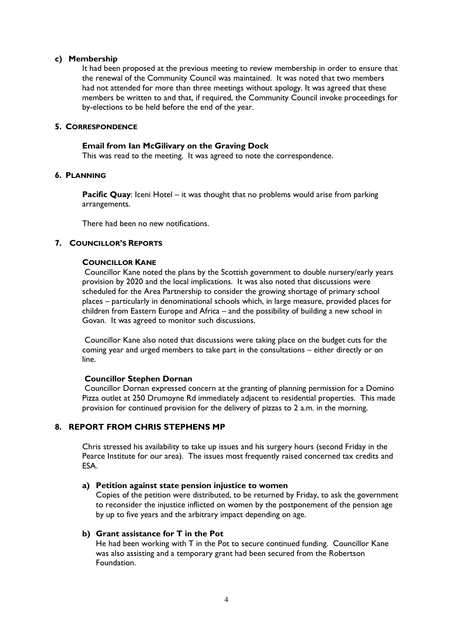#### **c) Membership**

It had been proposed at the previous meeting to review membership in order to ensure that the renewal of the Community Council was maintained. It was noted that two members had not attended for more than three meetings without apology. It was agreed that these members be written to and that, if required, the Community Council invoke proceedings for by-elections to be held before the end of the year.

## **5. CORRESPONDENCE**

#### **Email from Ian McGilivary on the Graving Dock**

This was read to the meeting. It was agreed to note the correspondence.

#### **6. PLANNING**

**Pacific Quay**: Iceni Hotel – it was thought that no problems would arise from parking arrangements.

There had been no new notifications.

## **7. COUNCILLOR'S REPORTS**

#### **COUNCILLOR KANE**

Councillor Kane noted the plans by the Scottish government to double nursery/early years provision by 2020 and the local implications. It was also noted that discussions were scheduled for the Area Partnership to consider the growing shortage of primary school places – particularly in denominational schools which, in large measure, provided places for children from Eastern Europe and Africa – and the possibility of building a new school in Govan. It was agreed to monitor such discussions.

Councillor Kane also noted that discussions were taking place on the budget cuts for the coming year and urged members to take part in the consultations – either directly or on line.

#### **Councillor Stephen Dornan**

Councillor Dornan expressed concern at the granting of planning permission for a Domino Pizza outlet at 250 Drumoyne Rd immediately adjacent to residential properties. This made provision for continued provision for the delivery of pizzas to 2 a.m. in the morning.

# **8. REPORT FROM CHRIS STEPHENS MP**

Chris stressed his availability to take up issues and his surgery hours (second Friday in the Pearce Institute for our area). The issues most frequently raised concerned tax credits and **FSA** 

#### **a) Petition against state pension injustice to women**

Copies of the petition were distributed, to be returned by Friday, to ask the government to reconsider the injustice inflicted on women by the postponement of the pension age by up to five years and the arbitrary impact depending on age.

#### **b) Grant assistance for T in the Pot**

He had been working with T in the Pot to secure continued funding. Councillor Kane was also assisting and a temporary grant had been secured from the Robertson Foundation.